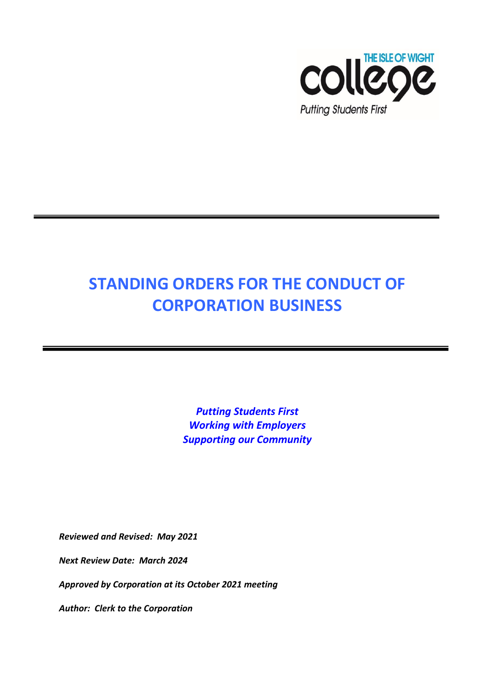

# **STANDING ORDERS FOR THE CONDUCT OF CORPORATION BUSINESS**

*Putting Students First Working with Employers Supporting our Community*

*Reviewed and Revised: May 2021*

*Next Review Date: March 2024*

*Approved by Corporation at its October 2021 meeting*

*Author: Clerk to the Corporation*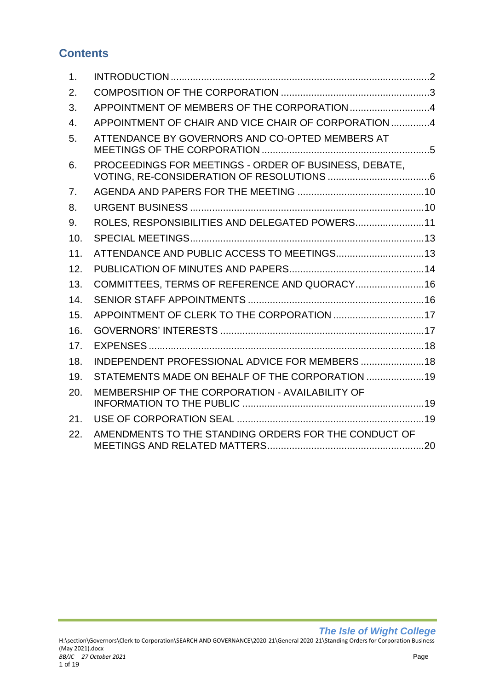# **Contents**

| 1.               |                                                       |  |
|------------------|-------------------------------------------------------|--|
| 2.               |                                                       |  |
| 3.               | APPOINTMENT OF MEMBERS OF THE CORPORATION 4           |  |
| $\overline{4}$ . | APPOINTMENT OF CHAIR AND VICE CHAIR OF CORPORATION4   |  |
| 5.               | ATTENDANCE BY GOVERNORS AND CO-OPTED MEMBERS AT       |  |
| 6.               | PROCEEDINGS FOR MEETINGS - ORDER OF BUSINESS, DEBATE, |  |
| 7.               |                                                       |  |
| 8.               |                                                       |  |
| 9.               | ROLES, RESPONSIBILITIES AND DELEGATED POWERS11        |  |
| 10.              |                                                       |  |
| 11.              | ATTENDANCE AND PUBLIC ACCESS TO MEETINGS 13           |  |
| 12.              |                                                       |  |
| 13.              | COMMITTEES, TERMS OF REFERENCE AND QUORACY 16         |  |
| 14.              |                                                       |  |
| 15.              | APPOINTMENT OF CLERK TO THE CORPORATION 17            |  |
| 16.              |                                                       |  |
| 17.              |                                                       |  |
| 18.              | INDEPENDENT PROFESSIONAL ADVICE FOR MEMBERS  18       |  |
| 19.              | STATEMENTS MADE ON BEHALF OF THE CORPORATION  19      |  |
| 20.              | MEMBERSHIP OF THE CORPORATION - AVAILABILITY OF       |  |
| 21.              |                                                       |  |
| 22.              | AMENDMENTS TO THE STANDING ORDERS FOR THE CONDUCT OF  |  |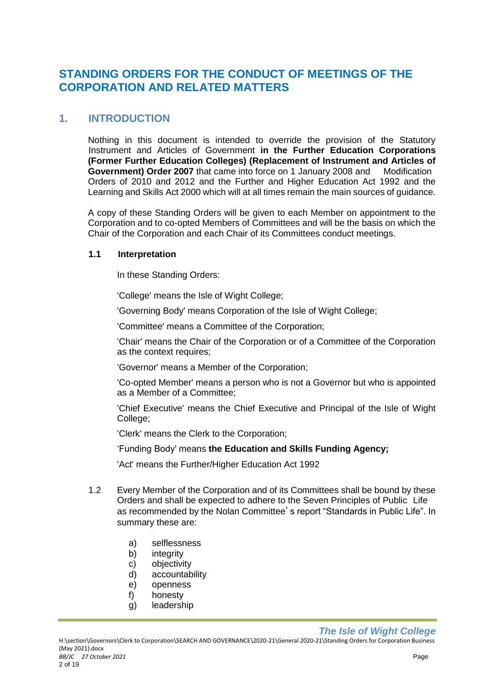## **STANDING ORDERS FOR THE CONDUCT OF MEETINGS OF THE CORPORATION AND RELATED MATTERS**

## <span id="page-2-0"></span>**1. INTRODUCTION**

Nothing in this document is intended to override the provision of the Statutory Instrument and Articles of Government **in the Further Education Corporations (Former Further Education Colleges) (Replacement of Instrument and Articles of Government) Order 2007** that came into force on 1 January 2008 and Modification Orders of 2010 and 2012 and the Further and Higher Education Act 1992 and the Learning and Skills Act 2000 which will at all times remain the main sources of guidance.

A copy of these Standing Orders will be given to each Member on appointment to the Corporation and to co-opted Members of Committees and will be the basis on which the Chair of the Corporation and each Chair of its Committees conduct meetings.

#### **1.1 Interpretation**

In these Standing Orders:

'College' means the Isle of Wight College;

'Governing Body' means Corporation of the Isle of Wight College;

'Committee' means a Committee of the Corporation;

'Chair' means the Chair of the Corporation or of a Committee of the Corporation as the context requires;

'Governor' means a Member of the Corporation;

'Co-opted Member' means a person who is not a Governor but who is appointed as a Member of a Committee;

'Chief Executive' means the Chief Executive and Principal of the Isle of Wight College:

'Clerk' means the Clerk to the Corporation;

'Funding Body' means **the Education and Skills Funding Agency;**

'Act' means the Further/Higher Education Act 1992

- 1.2 Every Member of the Corporation and of its Committees shall be bound by these Orders and shall be expected to adhere to the Seven Principles of Public Life as recommended by the Nolan Committee's report "Standards in Public Life". In summary these are:
	- a) selflessness
	- b) integrity
	- c) objectivity
	- d) accountability
	- e) openness
	- f) honesty
	- g) leadership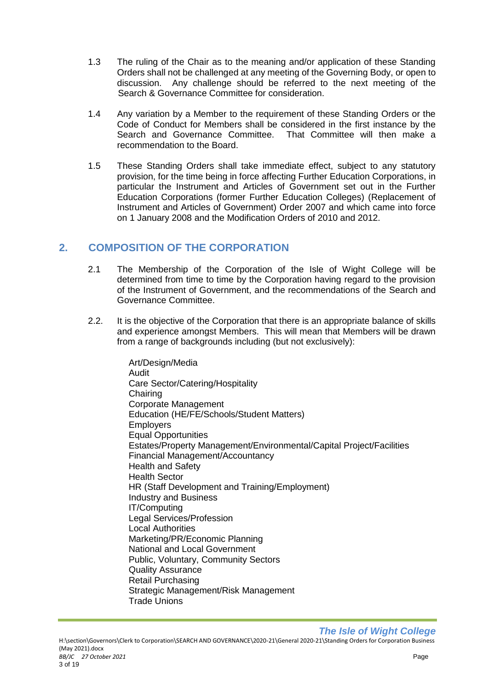- 1.3 The ruling of the Chair as to the meaning and/or application of these Standing Orders shall not be challenged at any meeting of the Governing Body, or open to discussion. Any challenge should be referred to the next meeting of the Search & Governance Committee for consideration.
- 1.4 Any variation by a Member to the requirement of these Standing Orders or the Code of Conduct for Members shall be considered in the first instance by the Search and Governance Committee. That Committee will then make a recommendation to the Board.
- 1.5 These Standing Orders shall take immediate effect, subject to any statutory provision, for the time being in force affecting Further Education Corporations, in particular the Instrument and Articles of Government set out in the Further Education Corporations (former Further Education Colleges) (Replacement of Instrument and Articles of Government) Order 2007 and which came into force on 1 January 2008 and the Modification Orders of 2010 and 2012.

## <span id="page-3-0"></span>**2. COMPOSITION OF THE CORPORATION**

- 2.1 The Membership of the Corporation of the Isle of Wight College will be determined from time to time by the Corporation having regard to the provision of the Instrument of Government, and the recommendations of the Search and Governance Committee.
- 2.2. It is the objective of the Corporation that there is an appropriate balance of skills and experience amongst Members. This will mean that Members will be drawn from a range of backgrounds including (but not exclusively):

Art/Design/Media Audit Care Sector/Catering/Hospitality Chairing Corporate Management Education (HE/FE/Schools/Student Matters) **Employers** Equal Opportunities Estates/Property Management/Environmental/Capital Project/Facilities Financial Management/Accountancy Health and Safety Health Sector HR (Staff Development and Training/Employment) Industry and Business IT/Computing Legal Services/Profession Local Authorities Marketing/PR/Economic Planning National and Local Government Public, Voluntary, Community Sectors Quality Assurance Retail Purchasing Strategic Management/Risk Management Trade Unions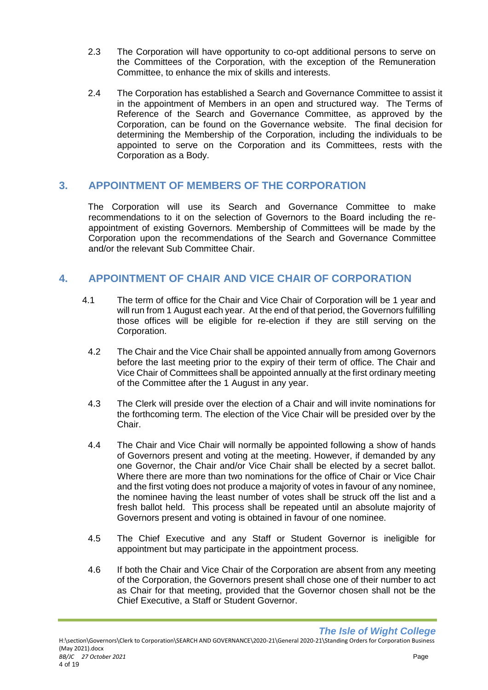- 2.3 The Corporation will have opportunity to co-opt additional persons to serve on the Committees of the Corporation, with the exception of the Remuneration Committee, to enhance the mix of skills and interests.
- 2.4 The Corporation has established a Search and Governance Committee to assist it in the appointment of Members in an open and structured way. The Terms of Reference of the Search and Governance Committee, as approved by the Corporation, can be found on the Governance website. The final decision for determining the Membership of the Corporation, including the individuals to be appointed to serve on the Corporation and its Committees, rests with the Corporation as a Body.

## <span id="page-4-0"></span>**3. APPOINTMENT OF MEMBERS OF THE CORPORATION**

The Corporation will use its Search and Governance Committee to make recommendations to it on the selection of Governors to the Board including the reappointment of existing Governors. Membership of Committees will be made by the Corporation upon the recommendations of the Search and Governance Committee and/or the relevant Sub Committee Chair.

## <span id="page-4-1"></span>**4. APPOINTMENT OF CHAIR AND VICE CHAIR OF CORPORATION**

- 4.1 The term of office for the Chair and Vice Chair of Corporation will be 1 year and will run from 1 August each year. At the end of that period, the Governors fulfilling those offices will be eligible for re-election if they are still serving on the Corporation.
	- 4.2 The Chair and the Vice Chair shall be appointed annually from among Governors before the last meeting prior to the expiry of their term of office. The Chair and Vice Chair of Committees shall be appointed annually at the first ordinary meeting of the Committee after the 1 August in any year.
	- 4.3 The Clerk will preside over the election of a Chair and will invite nominations for the forthcoming term. The election of the Vice Chair will be presided over by the Chair.
	- 4.4 The Chair and Vice Chair will normally be appointed following a show of hands of Governors present and voting at the meeting. However, if demanded by any one Governor, the Chair and/or Vice Chair shall be elected by a secret ballot. Where there are more than two nominations for the office of Chair or Vice Chair and the first voting does not produce a majority of votes in favour of any nominee, the nominee having the least number of votes shall be struck off the list and a fresh ballot held. This process shall be repeated until an absolute majority of Governors present and voting is obtained in favour of one nominee.
	- 4.5 The Chief Executive and any Staff or Student Governor is ineligible for appointment but may participate in the appointment process.
	- 4.6 If both the Chair and Vice Chair of the Corporation are absent from any meeting of the Corporation, the Governors present shall chose one of their number to act as Chair for that meeting, provided that the Governor chosen shall not be the Chief Executive, a Staff or Student Governor.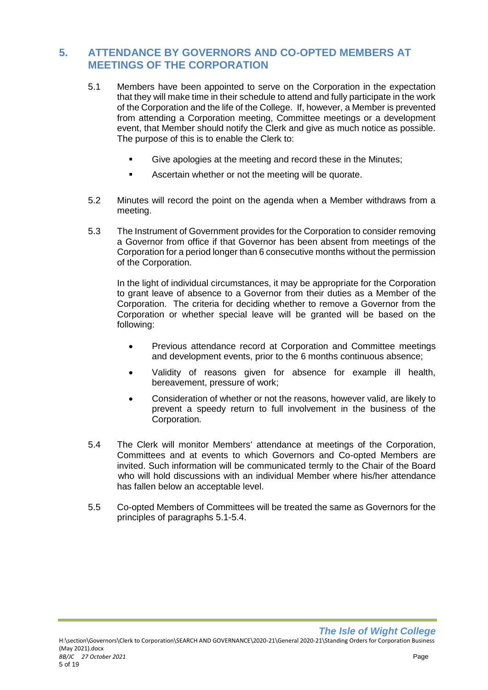## <span id="page-5-0"></span>**5. ATTENDANCE BY GOVERNORS AND CO-OPTED MEMBERS AT MEETINGS OF THE CORPORATION**

- 5.1 Members have been appointed to serve on the Corporation in the expectation that they will make time in their schedule to attend and fully participate in the work of the Corporation and the life of the College. If, however, a Member is prevented from attending a Corporation meeting, Committee meetings or a development event, that Member should notify the Clerk and give as much notice as possible. The purpose of this is to enable the Clerk to:
	- Give apologies at the meeting and record these in the Minutes;
	- **EXEC** Ascertain whether or not the meeting will be quorate.
- 5.2 Minutes will record the point on the agenda when a Member withdraws from a meeting.
- 5.3 The Instrument of Government provides for the Corporation to consider removing a Governor from office if that Governor has been absent from meetings of the Corporation for a period longer than 6 consecutive months without the permission of the Corporation.

In the light of individual circumstances, it may be appropriate for the Corporation to grant leave of absence to a Governor from their duties as a Member of the Corporation. The criteria for deciding whether to remove a Governor from the Corporation or whether special leave will be granted will be based on the following:

- Previous attendance record at Corporation and Committee meetings and development events, prior to the 6 months continuous absence;
- Validity of reasons given for absence for example ill health, bereavement, pressure of work;
- Consideration of whether or not the reasons, however valid, are likely to prevent a speedy return to full involvement in the business of the Corporation.
- 5.4 The Clerk will monitor Members' attendance at meetings of the Corporation, Committees and at events to which Governors and Co-opted Members are invited. Such information will be communicated termly to the Chair of the Board who will hold discussions with an individual Member where his/her attendance has fallen below an acceptable level.
- 5.5 Co-opted Members of Committees will be treated the same as Governors for the principles of paragraphs 5.1-5.4.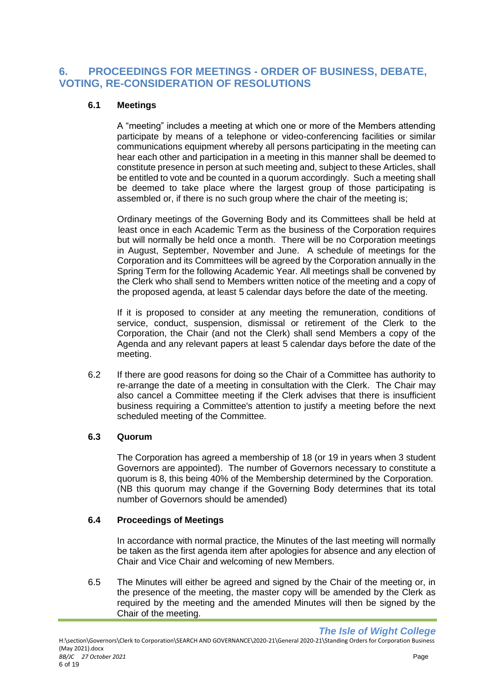## <span id="page-6-0"></span>**6. PROCEEDINGS FOR MEETINGS - ORDER OF BUSINESS, DEBATE, VOTING, RE-CONSIDERATION OF RESOLUTIONS**

#### **6.1 Meetings**

A "meeting" includes a meeting at which one or more of the Members attending participate by means of a telephone or video-conferencing facilities or similar communications equipment whereby all persons participating in the meeting can hear each other and participation in a meeting in this manner shall be deemed to constitute presence in person at such meeting and, subject to these Articles, shall be entitled to vote and be counted in a quorum accordingly. Such a meeting shall be deemed to take place where the largest group of those participating is assembled or, if there is no such group where the chair of the meeting is;

Ordinary meetings of the Governing Body and its Committees shall be held at least once in each Academic Term as the business of the Corporation requires but will normally be held once a month. There will be no Corporation meetings in August, September, November and June. A schedule of meetings for the Corporation and its Committees will be agreed by the Corporation annually in the Spring Term for the following Academic Year. All meetings shall be convened by the Clerk who shall send to Members written notice of the meeting and a copy of the proposed agenda, at least 5 calendar days before the date of the meeting.

If it is proposed to consider at any meeting the remuneration, conditions of service, conduct, suspension, dismissal or retirement of the Clerk to the Corporation, the Chair (and not the Clerk) shall send Members a copy of the Agenda and any relevant papers at least 5 calendar days before the date of the meeting.

6.2 If there are good reasons for doing so the Chair of a Committee has authority to re-arrange the date of a meeting in consultation with the Clerk. The Chair may also cancel a Committee meeting if the Clerk advises that there is insufficient business requiring a Committee's attention to justify a meeting before the next scheduled meeting of the Committee.

#### **6.3 Quorum**

The Corporation has agreed a membership of 18 (or 19 in years when 3 student Governors are appointed). The number of Governors necessary to constitute a quorum is 8, this being 40% of the Membership determined by the Corporation. (NB this quorum may change if the Governing Body determines that its total number of Governors should be amended)

#### **6.4 Proceedings of Meetings**

In accordance with normal practice, the Minutes of the last meeting will normally be taken as the first agenda item after apologies for absence and any election of Chair and Vice Chair and welcoming of new Members.

6.5 The Minutes will either be agreed and signed by the Chair of the meeting or, in the presence of the meeting, the master copy will be amended by the Clerk as required by the meeting and the amended Minutes will then be signed by the Chair of the meeting.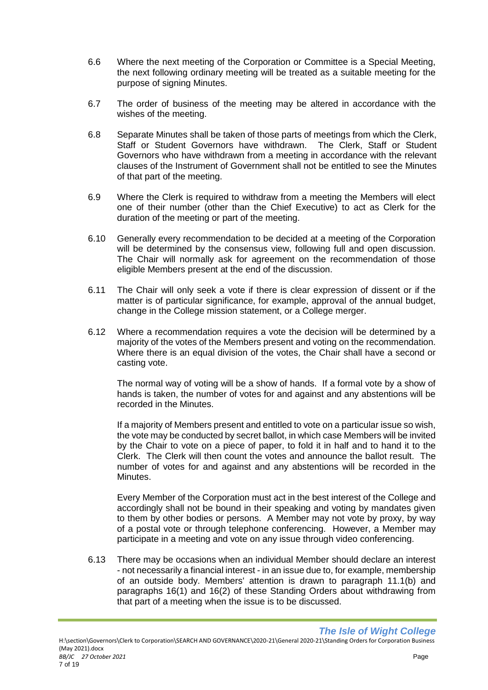- 6.6 Where the next meeting of the Corporation or Committee is a Special Meeting, the next following ordinary meeting will be treated as a suitable meeting for the purpose of signing Minutes.
- 6.7 The order of business of the meeting may be altered in accordance with the wishes of the meeting.
- 6.8 Separate Minutes shall be taken of those parts of meetings from which the Clerk, Staff or Student Governors have withdrawn. The Clerk, Staff or Student Governors who have withdrawn from a meeting in accordance with the relevant clauses of the Instrument of Government shall not be entitled to see the Minutes of that part of the meeting.
- 6.9 Where the Clerk is required to withdraw from a meeting the Members will elect one of their number (other than the Chief Executive) to act as Clerk for the duration of the meeting or part of the meeting.
- 6.10 Generally every recommendation to be decided at a meeting of the Corporation will be determined by the consensus view, following full and open discussion. The Chair will normally ask for agreement on the recommendation of those eligible Members present at the end of the discussion.
- 6.11 The Chair will only seek a vote if there is clear expression of dissent or if the matter is of particular significance, for example, approval of the annual budget, change in the College mission statement, or a College merger.
- 6.12 Where a recommendation requires a vote the decision will be determined by a majority of the votes of the Members present and voting on the recommendation. Where there is an equal division of the votes, the Chair shall have a second or casting vote.

The normal way of voting will be a show of hands. If a formal vote by a show of hands is taken, the number of votes for and against and any abstentions will be recorded in the Minutes.

If a majority of Members present and entitled to vote on a particular issue so wish, the vote may be conducted by secret ballot, in which case Members will be invited by the Chair to vote on a piece of paper, to fold it in half and to hand it to the Clerk. The Clerk will then count the votes and announce the ballot result. The number of votes for and against and any abstentions will be recorded in the **Minutes** 

Every Member of the Corporation must act in the best interest of the College and accordingly shall not be bound in their speaking and voting by mandates given to them by other bodies or persons. A Member may not vote by proxy, by way of a postal vote or through telephone conferencing. However, a Member may participate in a meeting and vote on any issue through video conferencing.

6.13 There may be occasions when an individual Member should declare an interest - not necessarily a financial interest - in an issue due to, for example, membership of an outside body. Members' attention is drawn to paragraph 11.1(b) and paragraphs 16(1) and 16(2) of these Standing Orders about withdrawing from that part of a meeting when the issue is to be discussed.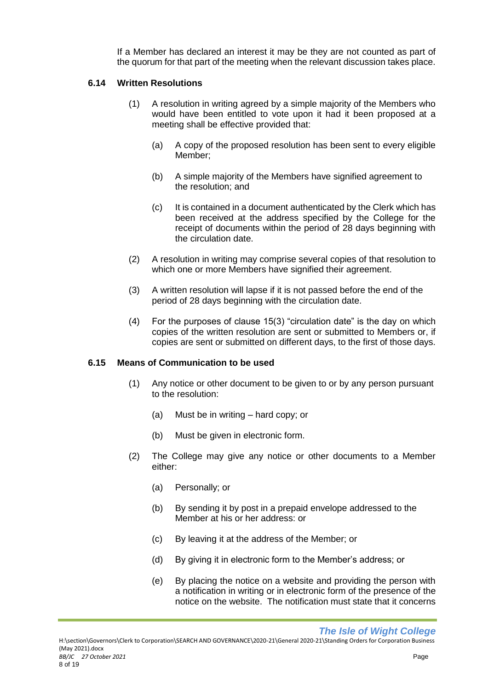If a Member has declared an interest it may be they are not counted as part of the quorum for that part of the meeting when the relevant discussion takes place.

#### **6.14 Written Resolutions**

- (1) A resolution in writing agreed by a simple majority of the Members who would have been entitled to vote upon it had it been proposed at a meeting shall be effective provided that:
	- (a) A copy of the proposed resolution has been sent to every eligible Member;
	- (b) A simple majority of the Members have signified agreement to the resolution; and
	- (c) It is contained in a document authenticated by the Clerk which has been received at the address specified by the College for the receipt of documents within the period of 28 days beginning with the circulation date.
- (2) A resolution in writing may comprise several copies of that resolution to which one or more Members have signified their agreement.
- (3) A written resolution will lapse if it is not passed before the end of the period of 28 days beginning with the circulation date.
- (4) For the purposes of clause 15(3) "circulation date" is the day on which copies of the written resolution are sent or submitted to Members or, if copies are sent or submitted on different days, to the first of those days.

#### **6.15 Means of Communication to be used**

- (1) Any notice or other document to be given to or by any person pursuant to the resolution:
	- (a) Must be in writing hard copy; or
	- (b) Must be given in electronic form.
- (2) The College may give any notice or other documents to a Member either:
	- (a) Personally; or
	- (b) By sending it by post in a prepaid envelope addressed to the Member at his or her address: or
	- (c) By leaving it at the address of the Member; or
	- (d) By giving it in electronic form to the Member's address; or
	- (e) By placing the notice on a website and providing the person with a notification in writing or in electronic form of the presence of the notice on the website. The notification must state that it concerns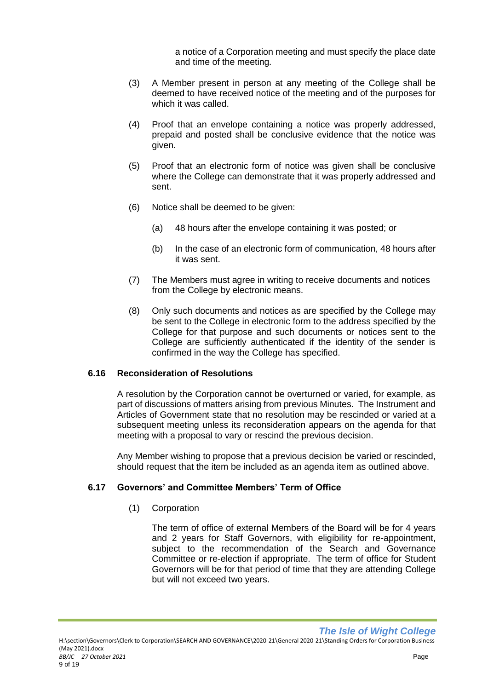a notice of a Corporation meeting and must specify the place date and time of the meeting*.*

- (3) A Member present in person at any meeting of the College shall be deemed to have received notice of the meeting and of the purposes for which it was called.
- (4) Proof that an envelope containing a notice was properly addressed, prepaid and posted shall be conclusive evidence that the notice was given.
- (5) Proof that an electronic form of notice was given shall be conclusive where the College can demonstrate that it was properly addressed and sent.
- (6) Notice shall be deemed to be given:
	- (a) 48 hours after the envelope containing it was posted; or
	- (b) In the case of an electronic form of communication, 48 hours after it was sent.
- (7) The Members must agree in writing to receive documents and notices from the College by electronic means.
- (8) Only such documents and notices as are specified by the College may be sent to the College in electronic form to the address specified by the College for that purpose and such documents or notices sent to the College are sufficiently authenticated if the identity of the sender is confirmed in the way the College has specified.

#### **6.16 Reconsideration of Resolutions**

A resolution by the Corporation cannot be overturned or varied, for example, as part of discussions of matters arising from previous Minutes. The Instrument and Articles of Government state that no resolution may be rescinded or varied at a subsequent meeting unless its reconsideration appears on the agenda for that meeting with a proposal to vary or rescind the previous decision.

Any Member wishing to propose that a previous decision be varied or rescinded, should request that the item be included as an agenda item as outlined above.

#### **6.17 Governors' and Committee Members' Term of Office**

(1) Corporation

The term of office of external Members of the Board will be for 4 years and 2 years for Staff Governors, with eligibility for re-appointment, subject to the recommendation of the Search and Governance Committee or re-election if appropriate. The term of office for Student Governors will be for that period of time that they are attending College but will not exceed two years.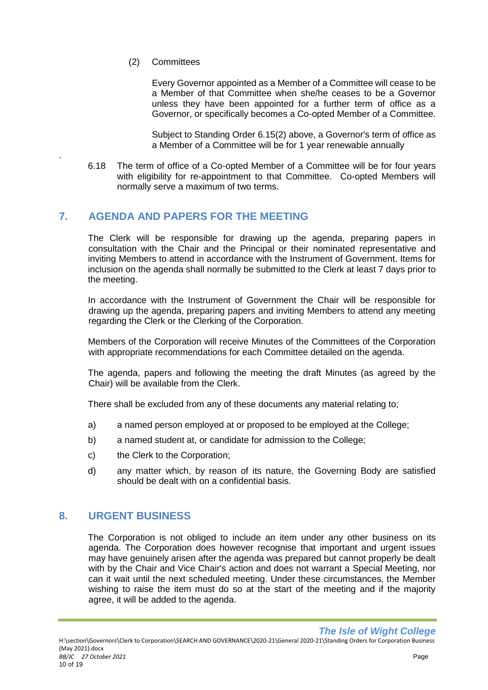(2) Committees

.

Every Governor appointed as a Member of a Committee will cease to be a Member of that Committee when she/he ceases to be a Governor unless they have been appointed for a further term of office as a Governor, or specifically becomes a Co-opted Member of a Committee.

Subject to Standing Order 6.15(2) above, a Governor's term of office as a Member of a Committee will be for 1 year renewable annually

6.18 The term of office of a Co-opted Member of a Committee will be for four years with eligibility for re-appointment to that Committee. Co-opted Members will normally serve a maximum of two terms.

## <span id="page-10-0"></span>**7. AGENDA AND PAPERS FOR THE MEETING**

The Clerk will be responsible for drawing up the agenda, preparing papers in consultation with the Chair and the Principal or their nominated representative and inviting Members to attend in accordance with the Instrument of Government. Items for inclusion on the agenda shall normally be submitted to the Clerk at least 7 days prior to the meeting.

In accordance with the Instrument of Government the Chair will be responsible for drawing up the agenda, preparing papers and inviting Members to attend any meeting regarding the Clerk or the Clerking of the Corporation.

Members of the Corporation will receive Minutes of the Committees of the Corporation with appropriate recommendations for each Committee detailed on the agenda.

The agenda, papers and following the meeting the draft Minutes (as agreed by the Chair) will be available from the Clerk.

There shall be excluded from any of these documents any material relating to;

- a) a named person employed at or proposed to be employed at the College;
- b) a named student at, or candidate for admission to the College;
- c) the Clerk to the Corporation;
- d) any matter which, by reason of its nature, the Governing Body are satisfied should be dealt with on a confidential basis.

## <span id="page-10-1"></span>**8. URGENT BUSINESS**

The Corporation is not obliged to include an item under any other business on its agenda. The Corporation does however recognise that important and urgent issues may have genuinely arisen after the agenda was prepared but cannot properly be dealt with by the Chair and Vice Chair's action and does not warrant a Special Meeting, nor can it wait until the next scheduled meeting. Under these circumstances, the Member wishing to raise the item must do so at the start of the meeting and if the majority agree, it will be added to the agenda.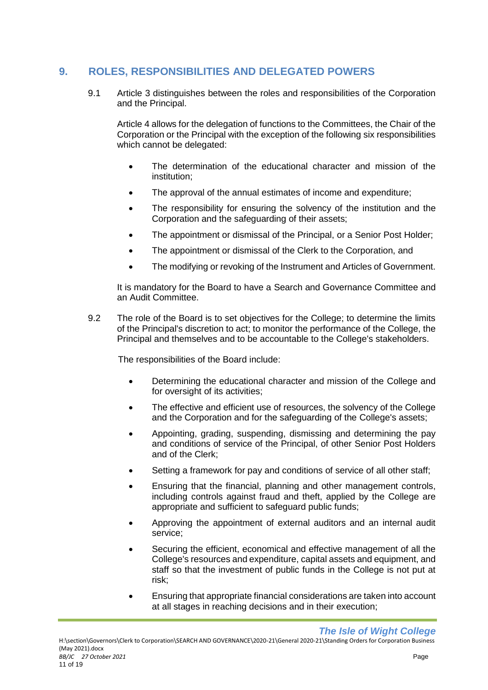## <span id="page-11-0"></span>**9. ROLES, RESPONSIBILITIES AND DELEGATED POWERS**

9.1 Article 3 distinguishes between the roles and responsibilities of the Corporation and the Principal.

Article 4 allows for the delegation of functions to the Committees, the Chair of the Corporation or the Principal with the exception of the following six responsibilities which cannot be delegated:

- The determination of the educational character and mission of the institution;
- The approval of the annual estimates of income and expenditure;
- The responsibility for ensuring the solvency of the institution and the Corporation and the safeguarding of their assets;
- The appointment or dismissal of the Principal, or a Senior Post Holder;
- The appointment or dismissal of the Clerk to the Corporation, and
- The modifying or revoking of the Instrument and Articles of Government.

It is mandatory for the Board to have a Search and Governance Committee and an Audit Committee.

9.2 The role of the Board is to set objectives for the College; to determine the limits of the Principal's discretion to act; to monitor the performance of the College, the Principal and themselves and to be accountable to the College's stakeholders.

The responsibilities of the Board include:

- Determining the educational character and mission of the College and for oversight of its activities:
- The effective and efficient use of resources, the solvency of the College and the Corporation and for the safeguarding of the College's assets;
- Appointing, grading, suspending, dismissing and determining the pay and conditions of service of the Principal, of other Senior Post Holders and of the Clerk;
- Setting a framework for pay and conditions of service of all other staff;
- Ensuring that the financial, planning and other management controls, including controls against fraud and theft, applied by the College are appropriate and sufficient to safeguard public funds;
- Approving the appointment of external auditors and an internal audit service;
- Securing the efficient, economical and effective management of all the College's resources and expenditure, capital assets and equipment, and staff so that the investment of public funds in the College is not put at risk;
- Ensuring that appropriate financial considerations are taken into account at all stages in reaching decisions and in their execution;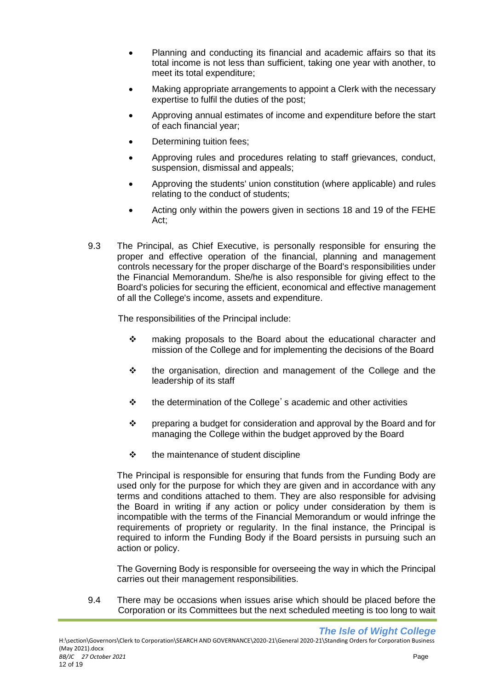- Planning and conducting its financial and academic affairs so that its total income is not less than sufficient, taking one year with another, to meet its total expenditure;
- Making appropriate arrangements to appoint a Clerk with the necessary expertise to fulfil the duties of the post;
- Approving annual estimates of income and expenditure before the start of each financial year;
- Determining tuition fees;
- Approving rules and procedures relating to staff grievances, conduct, suspension, dismissal and appeals;
- Approving the students' union constitution (where applicable) and rules relating to the conduct of students;
- Acting only within the powers given in sections 18 and 19 of the FEHE Act;
- 9.3 The Principal, as Chief Executive, is personally responsible for ensuring the proper and effective operation of the financial, planning and management controls necessary for the proper discharge of the Board's responsibilities under the Financial Memorandum. She/he is also responsible for giving effect to the Board's policies for securing the efficient, economical and effective management of all the College's income, assets and expenditure.

The responsibilities of the Principal include:

- ❖ making proposals to the Board about the educational character and mission of the College and for implementing the decisions of the Board
- ❖ the organisation, direction and management of the College and the leadership of its staff
- ❖ the determination of the College's academic and other activities
- ❖ preparing a budget for consideration and approval by the Board and for managing the College within the budget approved by the Board
- ❖ the maintenance of student discipline

The Principal is responsible for ensuring that funds from the Funding Body are used only for the purpose for which they are given and in accordance with any terms and conditions attached to them. They are also responsible for advising the Board in writing if any action or policy under consideration by them is incompatible with the terms of the Financial Memorandum or would infringe the requirements of propriety or regularity. In the final instance, the Principal is required to inform the Funding Body if the Board persists in pursuing such an action or policy.

The Governing Body is responsible for overseeing the way in which the Principal carries out their management responsibilities.

9.4 There may be occasions when issues arise which should be placed before the Corporation or its Committees but the next scheduled meeting is too long to wait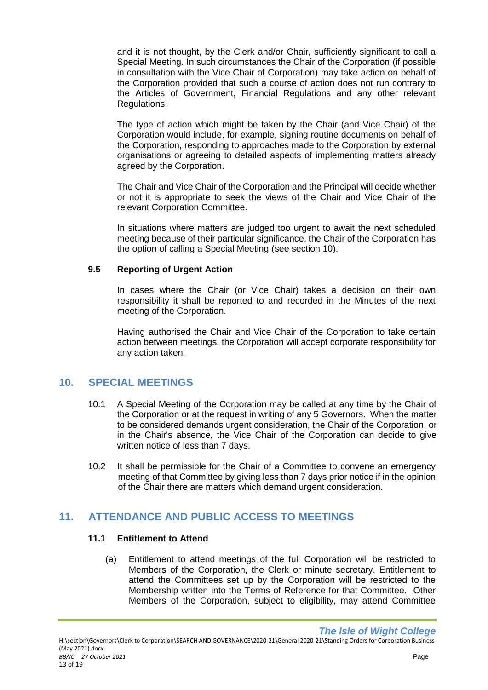and it is not thought, by the Clerk and/or Chair, sufficiently significant to call a Special Meeting. In such circumstances the Chair of the Corporation (if possible in consultation with the Vice Chair of Corporation) may take action on behalf of the Corporation provided that such a course of action does not run contrary to the Articles of Government, Financial Regulations and any other relevant Regulations.

The type of action which might be taken by the Chair (and Vice Chair) of the Corporation would include, for example, signing routine documents on behalf of the Corporation, responding to approaches made to the Corporation by external organisations or agreeing to detailed aspects of implementing matters already agreed by the Corporation.

The Chair and Vice Chair of the Corporation and the Principal will decide whether or not it is appropriate to seek the views of the Chair and Vice Chair of the relevant Corporation Committee.

In situations where matters are judged too urgent to await the next scheduled meeting because of their particular significance, the Chair of the Corporation has the option of calling a Special Meeting (see section 10).

#### **9.5 Reporting of Urgent Action**

In cases where the Chair (or Vice Chair) takes a decision on their own responsibility it shall be reported to and recorded in the Minutes of the next meeting of the Corporation.

Having authorised the Chair and Vice Chair of the Corporation to take certain action between meetings, the Corporation will accept corporate responsibility for any action taken.

## <span id="page-13-0"></span>**10. SPECIAL MEETINGS**

- 10.1 A Special Meeting of the Corporation may be called at any time by the Chair of the Corporation or at the request in writing of any 5 Governors. When the matter to be considered demands urgent consideration, the Chair of the Corporation, or in the Chair's absence, the Vice Chair of the Corporation can decide to give written notice of less than 7 days.
- 10.2 It shall be permissible for the Chair of a Committee to convene an emergency meeting of that Committee by giving less than 7 days prior notice if in the opinion of the Chair there are matters which demand urgent consideration.

## <span id="page-13-1"></span>**11. ATTENDANCE AND PUBLIC ACCESS TO MEETINGS**

#### **11.1 Entitlement to Attend**

(a) Entitlement to attend meetings of the full Corporation will be restricted to Members of the Corporation, the Clerk or minute secretary. Entitlement to attend the Committees set up by the Corporation will be restricted to the Membership written into the Terms of Reference for that Committee. Other Members of the Corporation, subject to eligibility, may attend Committee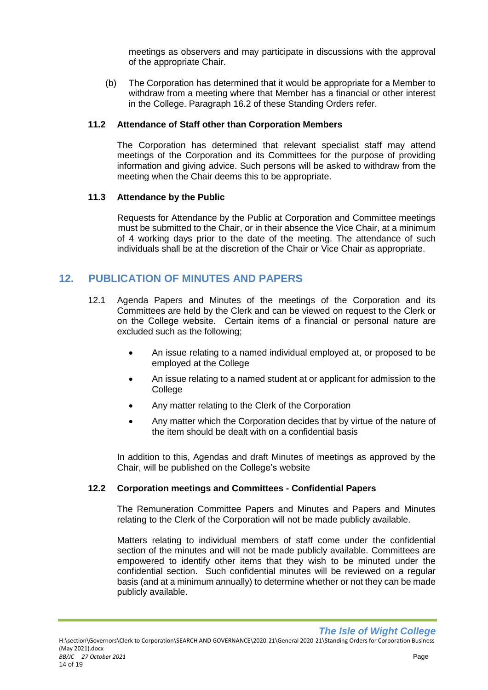meetings as observers and may participate in discussions with the approval of the appropriate Chair.

(b) The Corporation has determined that it would be appropriate for a Member to withdraw from a meeting where that Member has a financial or other interest in the College. Paragraph 16.2 of these Standing Orders refer.

#### **11.2 Attendance of Staff other than Corporation Members**

The Corporation has determined that relevant specialist staff may attend meetings of the Corporation and its Committees for the purpose of providing information and giving advice. Such persons will be asked to withdraw from the meeting when the Chair deems this to be appropriate.

#### **11.3 Attendance by the Public**

Requests for Attendance by the Public at Corporation and Committee meetings must be submitted to the Chair, or in their absence the Vice Chair, at a minimum of 4 working days prior to the date of the meeting. The attendance of such individuals shall be at the discretion of the Chair or Vice Chair as appropriate.

## <span id="page-14-0"></span>**12. PUBLICATION OF MINUTES AND PAPERS**

- 12.1 Agenda Papers and Minutes of the meetings of the Corporation and its Committees are held by the Clerk and can be viewed on request to the Clerk or on the College website. Certain items of a financial or personal nature are excluded such as the following;
	- An issue relating to a named individual employed at, or proposed to be employed at the College
	- An issue relating to a named student at or applicant for admission to the College
	- Any matter relating to the Clerk of the Corporation
	- Any matter which the Corporation decides that by virtue of the nature of the item should be dealt with on a confidential basis

In addition to this, Agendas and draft Minutes of meetings as approved by the Chair, will be published on the College's website

#### **12.2 Corporation meetings and Committees - Confidential Papers**

The Remuneration Committee Papers and Minutes and Papers and Minutes relating to the Clerk of the Corporation will not be made publicly available.

Matters relating to individual members of staff come under the confidential section of the minutes and will not be made publicly available. Committees are empowered to identify other items that they wish to be minuted under the confidential section. Such confidential minutes will be reviewed on a regular basis (and at a minimum annually) to determine whether or not they can be made publicly available.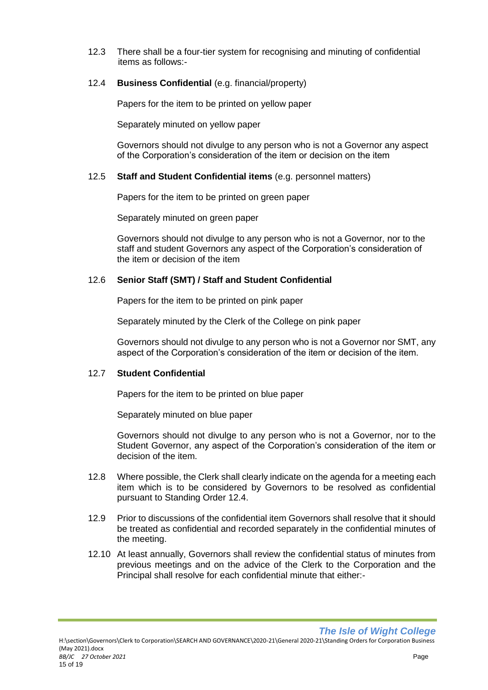12.3 There shall be a four-tier system for recognising and minuting of confidential items as follows:-

#### 12.4 **Business Confidential** (e.g. financial/property)

Papers for the item to be printed on yellow paper

Separately minuted on yellow paper

Governors should not divulge to any person who is not a Governor any aspect of the Corporation's consideration of the item or decision on the item

#### 12.5 **Staff and Student Confidential items** (e.g. personnel matters)

Papers for the item to be printed on green paper

Separately minuted on green paper

Governors should not divulge to any person who is not a Governor, nor to the staff and student Governors any aspect of the Corporation's consideration of the item or decision of the item

#### 12.6 **Senior Staff (SMT) / Staff and Student Confidential**

Papers for the item to be printed on pink paper

Separately minuted by the Clerk of the College on pink paper

Governors should not divulge to any person who is not a Governor nor SMT, any aspect of the Corporation's consideration of the item or decision of the item.

#### 12.7 **Student Confidential**

Papers for the item to be printed on blue paper

Separately minuted on blue paper

Governors should not divulge to any person who is not a Governor, nor to the Student Governor, any aspect of the Corporation's consideration of the item or decision of the item.

- 12.8 Where possible, the Clerk shall clearly indicate on the agenda for a meeting each item which is to be considered by Governors to be resolved as confidential pursuant to Standing Order 12.4.
- 12.9 Prior to discussions of the confidential item Governors shall resolve that it should be treated as confidential and recorded separately in the confidential minutes of the meeting.
- 12.10 At least annually, Governors shall review the confidential status of minutes from previous meetings and on the advice of the Clerk to the Corporation and the Principal shall resolve for each confidential minute that either:-

*The Isle of Wight College*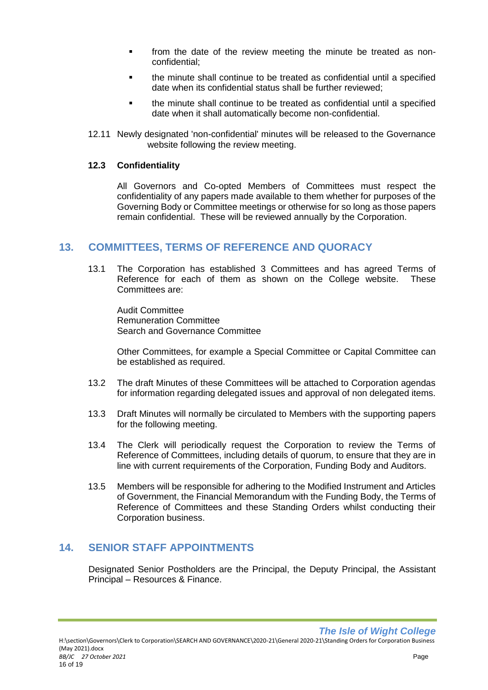- from the date of the review meeting the minute be treated as nonconfidential;
- the minute shall continue to be treated as confidential until a specified date when its confidential status shall be further reviewed;
- the minute shall continue to be treated as confidential until a specified date when it shall automatically become non-confidential.
- 12.11 Newly designated 'non-confidential' minutes will be released to the Governance website following the review meeting.

#### **12.3 Confidentiality**

All Governors and Co-opted Members of Committees must respect the confidentiality of any papers made available to them whether for purposes of the Governing Body or Committee meetings or otherwise for so long as those papers remain confidential. These will be reviewed annually by the Corporation.

#### <span id="page-16-0"></span>**13. COMMITTEES, TERMS OF REFERENCE AND QUORACY**

13.1 The Corporation has established 3 Committees and has agreed Terms of Reference for each of them as shown on the College website. These Committees are:

Audit Committee Remuneration Committee Search and Governance Committee

Other Committees, for example a Special Committee or Capital Committee can be established as required.

- 13.2 The draft Minutes of these Committees will be attached to Corporation agendas for information regarding delegated issues and approval of non delegated items.
- 13.3 Draft Minutes will normally be circulated to Members with the supporting papers for the following meeting.
- 13.4 The Clerk will periodically request the Corporation to review the Terms of Reference of Committees, including details of quorum, to ensure that they are in line with current requirements of the Corporation, Funding Body and Auditors.
- 13.5 Members will be responsible for adhering to the Modified Instrument and Articles of Government, the Financial Memorandum with the Funding Body, the Terms of Reference of Committees and these Standing Orders whilst conducting their Corporation business.

#### <span id="page-16-1"></span>**14. SENIOR STAFF APPOINTMENTS**

Designated Senior Postholders are the Principal, the Deputy Principal, the Assistant Principal – Resources & Finance.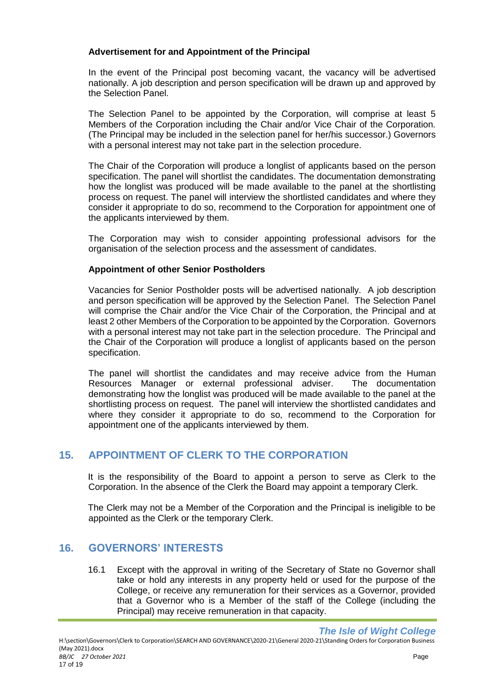#### **Advertisement for and Appointment of the Principal**

In the event of the Principal post becoming vacant, the vacancy will be advertised nationally. A job description and person specification will be drawn up and approved by the Selection Panel.

The Selection Panel to be appointed by the Corporation, will comprise at least 5 Members of the Corporation including the Chair and/or Vice Chair of the Corporation. (The Principal may be included in the selection panel for her/his successor.) Governors with a personal interest may not take part in the selection procedure.

The Chair of the Corporation will produce a longlist of applicants based on the person specification. The panel will shortlist the candidates. The documentation demonstrating how the longlist was produced will be made available to the panel at the shortlisting process on request. The panel will interview the shortlisted candidates and where they consider it appropriate to do so, recommend to the Corporation for appointment one of the applicants interviewed by them.

The Corporation may wish to consider appointing professional advisors for the organisation of the selection process and the assessment of candidates.

#### **Appointment of other Senior Postholders**

Vacancies for Senior Postholder posts will be advertised nationally. A job description and person specification will be approved by the Selection Panel. The Selection Panel will comprise the Chair and/or the Vice Chair of the Corporation, the Principal and at least 2 other Members of the Corporation to be appointed by the Corporation. Governors with a personal interest may not take part in the selection procedure. The Principal and the Chair of the Corporation will produce a longlist of applicants based on the person specification.

The panel will shortlist the candidates and may receive advice from the Human Resources Manager or external professional adviser. The documentation demonstrating how the longlist was produced will be made available to the panel at the shortlisting process on request. The panel will interview the shortlisted candidates and where they consider it appropriate to do so, recommend to the Corporation for appointment one of the applicants interviewed by them.

## <span id="page-17-0"></span>**15. APPOINTMENT OF CLERK TO THE CORPORATION**

It is the responsibility of the Board to appoint a person to serve as Clerk to the Corporation. In the absence of the Clerk the Board may appoint a temporary Clerk.

The Clerk may not be a Member of the Corporation and the Principal is ineligible to be appointed as the Clerk or the temporary Clerk.

## <span id="page-17-1"></span>**16. GOVERNORS' INTERESTS**

16.1 Except with the approval in writing of the Secretary of State no Governor shall take or hold any interests in any property held or used for the purpose of the College, or receive any remuneration for their services as a Governor, provided that a Governor who is a Member of the staff of the College (including the Principal) may receive remuneration in that capacity.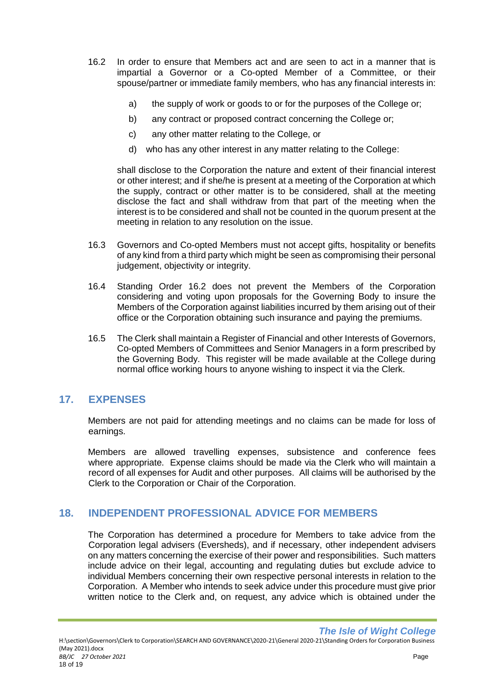- 16.2 In order to ensure that Members act and are seen to act in a manner that is impartial a Governor or a Co-opted Member of a Committee, or their spouse/partner or immediate family members, who has any financial interests in:
	- a) the supply of work or goods to or for the purposes of the College or;
	- b) any contract or proposed contract concerning the College or;
	- c) any other matter relating to the College, or
	- d) who has any other interest in any matter relating to the College:

shall disclose to the Corporation the nature and extent of their financial interest or other interest; and if she/he is present at a meeting of the Corporation at which the supply, contract or other matter is to be considered, shall at the meeting disclose the fact and shall withdraw from that part of the meeting when the interest is to be considered and shall not be counted in the quorum present at the meeting in relation to any resolution on the issue.

- 16.3 Governors and Co-opted Members must not accept gifts, hospitality or benefits of any kind from a third party which might be seen as compromising their personal judgement, objectivity or integrity.
- 16.4 Standing Order 16.2 does not prevent the Members of the Corporation considering and voting upon proposals for the Governing Body to insure the Members of the Corporation against liabilities incurred by them arising out of their office or the Corporation obtaining such insurance and paying the premiums.
- 16.5 The Clerk shall maintain a Register of Financial and other Interests of Governors, Co-opted Members of Committees and Senior Managers in a form prescribed by the Governing Body. This register will be made available at the College during normal office working hours to anyone wishing to inspect it via the Clerk.

## <span id="page-18-0"></span>**17. EXPENSES**

Members are not paid for attending meetings and no claims can be made for loss of earnings.

Members are allowed travelling expenses, subsistence and conference fees where appropriate. Expense claims should be made via the Clerk who will maintain a record of all expenses for Audit and other purposes. All claims will be authorised by the Clerk to the Corporation or Chair of the Corporation.

## <span id="page-18-1"></span>**18. INDEPENDENT PROFESSIONAL ADVICE FOR MEMBERS**

The Corporation has determined a procedure for Members to take advice from the Corporation legal advisers (Eversheds), and if necessary, other independent advisers on any matters concerning the exercise of their power and responsibilities. Such matters include advice on their legal, accounting and regulating duties but exclude advice to individual Members concerning their own respective personal interests in relation to the Corporation. A Member who intends to seek advice under this procedure must give prior written notice to the Clerk and, on request, any advice which is obtained under the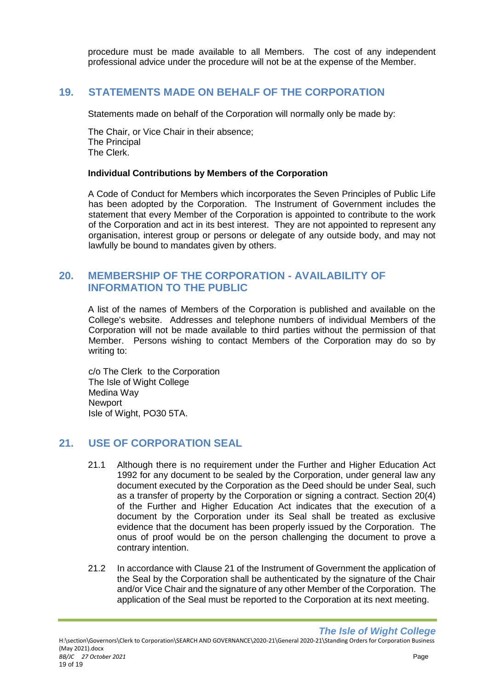procedure must be made available to all Members. The cost of any independent professional advice under the procedure will not be at the expense of the Member.

## <span id="page-19-0"></span>**19. STATEMENTS MADE ON BEHALF OF THE CORPORATION**

Statements made on behalf of the Corporation will normally only be made by:

The Chair, or Vice Chair in their absence; The Principal The Clerk.

#### **Individual Contributions by Members of the Corporation**

A Code of Conduct for Members which incorporates the Seven Principles of Public Life has been adopted by the Corporation. The Instrument of Government includes the statement that every Member of the Corporation is appointed to contribute to the work of the Corporation and act in its best interest. They are not appointed to represent any organisation, interest group or persons or delegate of any outside body, and may not lawfully be bound to mandates given by others.

#### <span id="page-19-1"></span>**20. MEMBERSHIP OF THE CORPORATION - AVAILABILITY OF INFORMATION TO THE PUBLIC**

A list of the names of Members of the Corporation is published and available on the College's website. Addresses and telephone numbers of individual Members of the Corporation will not be made available to third parties without the permission of that Member. Persons wishing to contact Members of the Corporation may do so by writing to:

c/o The Clerk to the Corporation The Isle of Wight College Medina Way **Newport** Isle of Wight, PO30 5TA.

## <span id="page-19-2"></span>**21. USE OF CORPORATION SEAL**

- 21.1 Although there is no requirement under the Further and Higher Education Act 1992 for any document to be sealed by the Corporation, under general law any document executed by the Corporation as the Deed should be under Seal, such as a transfer of property by the Corporation or signing a contract. Section 20(4) of the Further and Higher Education Act indicates that the execution of a document by the Corporation under its Seal shall be treated as exclusive evidence that the document has been properly issued by the Corporation. The onus of proof would be on the person challenging the document to prove a contrary intention.
- 21.2 In accordance with Clause 21 of the Instrument of Government the application of the Seal by the Corporation shall be authenticated by the signature of the Chair and/or Vice Chair and the signature of any other Member of the Corporation. The application of the Seal must be reported to the Corporation at its next meeting.